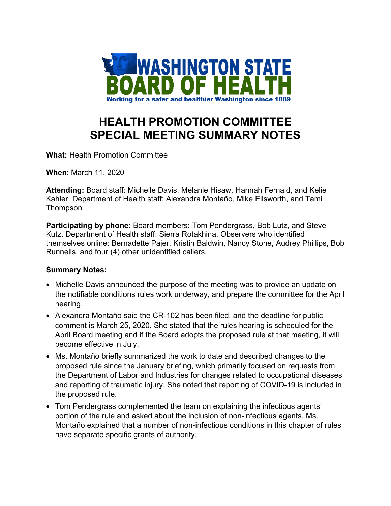

## **HEALTH PROMOTION COMMITTEE SPECIAL MEETING SUMMARY NOTES**

**What:** Health Promotion Committee

**When**: March 11, 2020

**Attending:** Board staff: Michelle Davis, Melanie Hisaw, Hannah Fernald, and Kelie Kahler. Department of Health staff: Alexandra Montaño, Mike Ellsworth, and Tami **Thompson** 

**Participating by phone:** Board members: Tom Pendergrass, Bob Lutz, and Steve Kutz. Department of Health staff: Sierra Rotakhina. Observers who identified themselves online: Bernadette Pajer, Kristin Baldwin, Nancy Stone, Audrey Phillips, Bob Runnells, and four (4) other unidentified callers.

## **Summary Notes:**

- Michelle Davis announced the purpose of the meeting was to provide an update on the notifiable conditions rules work underway, and prepare the committee for the April hearing.
- Alexandra Montaño said the CR-102 has been filed, and the deadline for public comment is March 25, 2020. She stated that the rules hearing is scheduled for the April Board meeting and if the Board adopts the proposed rule at that meeting, it will become effective in July.
- Ms. Montaño briefly summarized the work to date and described changes to the proposed rule since the January briefing, which primarily focused on requests from the Department of Labor and Industries for changes related to occupational diseases and reporting of traumatic injury. She noted that reporting of COVID-19 is included in the proposed rule.
- Tom Pendergrass complemented the team on explaining the infectious agents' portion of the rule and asked about the inclusion of non-infectious agents. Ms. Montaño explained that a number of non-infectious conditions in this chapter of rules have separate specific grants of authority.